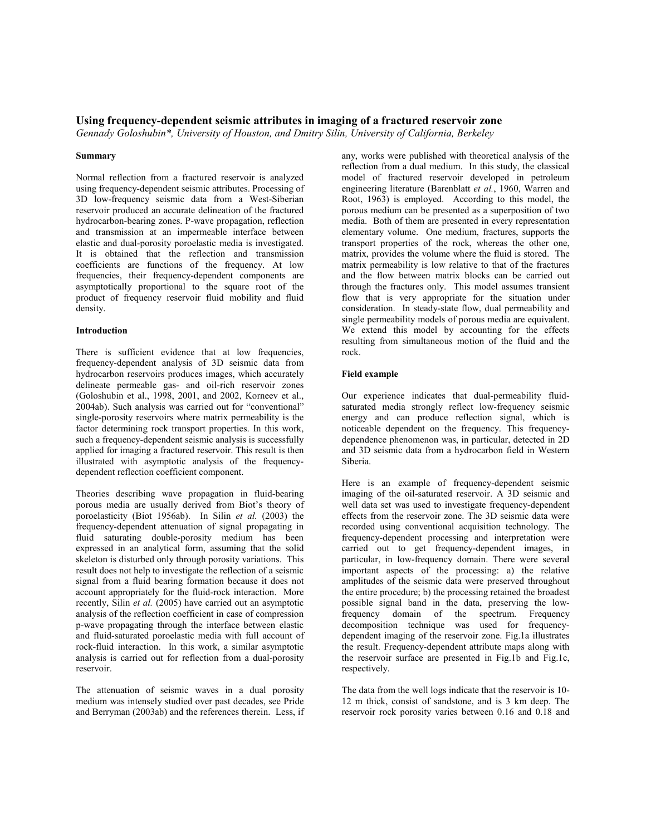# Using frequency-dependent seismic attributes in imaging of a fractured reservoir zone

Gennady Goloshubin\*, University of Houston, and Dmitry Silin, University of California, Berkeley

### Summary

Normal reflection from a fractured reservoir is analyzed using frequency-dependent seismic attributes. Processing of 3D low-frequency seismic data from a West-Siberian reservoir produced an accurate delineation of the fractured hydrocarbon-bearing zones. P-wave propagation, reflection and transmission at an impermeable interface between elastic and dual-porosity poroelastic media is investigated. It is obtained that the reflection and transmission coefficients are functions of the frequency. At low frequencies, their frequency-dependent components are asymptotically proportional to the square root of the product of frequency reservoir fluid mobility and fluid density.

# Introduction

There is sufficient evidence that at low frequencies, frequency-dependent analysis of 3D seismic data from hydrocarbon reservoirs produces images, which accurately delineate permeable gas- and oil-rich reservoir zones (Goloshubin et al., 1998, 2001, and 2002, Korneev et al., 2004ab). Such analysis was carried out for "conventional" single-porosity reservoirs where matrix permeability is the factor determining rock transport properties. In this work, such a frequency-dependent seismic analysis is successfully applied for imaging a fractured reservoir. This result is then illustrated with asymptotic analysis of the frequencydependent reflection coefficient component.

Theories describing wave propagation in fluid-bearing porous media are usually derived from Biot's theory of poroelasticity (Biot 1956ab). In Silin et al.  $(2003)$  the frequency-dependent attenuation of signal propagating in fluid saturating double-porosity medium has been expressed in an analytical form, assuming that the solid skeleton is disturbed only through porosity variations. This result does not help to investigate the reflection of a seismic signal from a fluid bearing formation because it does not account appropriately for the fluid-rock interaction. More recently, Silin et al. (2005) have carried out an asymptotic analysis of the reflection coefficient in case of compression p-wave propagating through the interface between elastic and fluid-saturated poroelastic media with full account of rock-fluid interaction. In this work, a similar asymptotic analysis is carried out for reflection from a dual-porosity reservoir.

The attenuation of seismic waves in a dual porosity medium was intensely studied over past decades, see Pride and Berryman (2003ab) and the references therein. Less, if

any, works were published with theoretical analysis of the reflection from a dual medium. In this study, the classical model of fractured reservoir developed in petroleum engineering literature (Barenblatt et al., 1960, Warren and Root, 1963) is employed. According to this model, the porous medium can be presented as a superposition of two media. Both of them are presented in every representation elementary volume. One medium, fractures, supports the transport properties of the rock, whereas the other one, matrix, provides the volume where the fluid is stored. The matrix permeability is low relative to that of the fractures and the flow between matrix blocks can be carried out through the fractures only. This model assumes transient flow that is very appropriate for the situation under consideration. In steady-state flow, dual permeability and single permeability models of porous media are equivalent. We extend this model by accounting for the effects resulting from simultaneous motion of the fluid and the rock.

## Field example

Our experience indicates that dual-permeability fluidsaturated media strongly reflect low-frequency seismic energy and can produce reflection signal, which is noticeable dependent on the frequency. This frequencydependence phenomenon was, in particular, detected in 2D and 3D seismic data from a hydrocarbon field in Western Siberia.

Here is an example of frequency-dependent seismic imaging of the oil-saturated reservoir. A 3D seismic and well data set was used to investigate frequency-dependent effects from the reservoir zone. The 3D seismic data were recorded using conventional acquisition technology. The frequency-dependent processing and interpretation were carried out to get frequency-dependent images, in particular, in low-frequency domain. There were several important aspects of the processing: a) the relative amplitudes of the seismic data were preserved throughout the entire procedure; b) the processing retained the broadest possible signal band in the data, preserving the lowfrequency domain of the spectrum. Frequency decomposition technique was used for frequencydependent imaging of the reservoir zone. Fig.1a illustrates the result. Frequency-dependent attribute maps along with the reservoir surface are presented in Fig.1b and Fig.1c, respectively.

The data from the well logs indicate that the reservoir is 10- 12 m thick, consist of sandstone, and is 3 km deep. The reservoir rock porosity varies between 0.16 and 0.18 and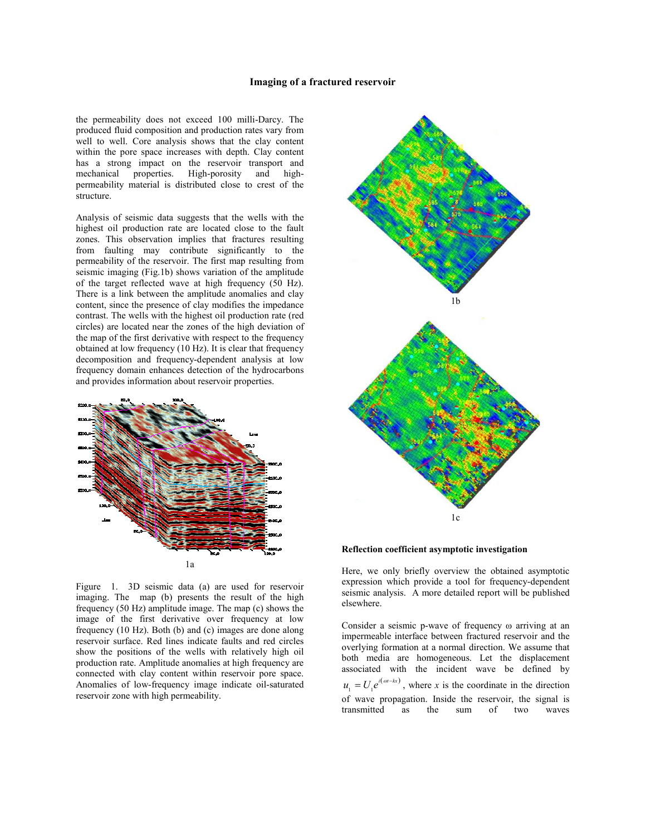## Imaging of a fractured reservoir

the permeability does not exceed 100 milli-Darcy. The produced fluid composition and production rates vary from well to well. Core analysis shows that the clay content within the pore space increases with depth. Clay content has a strong impact on the reservoir transport and mechanical properties. High-porosity and highmechanical properties. High-porosity and highpermeability material is distributed close to crest of the structure.

Analysis of seismic data suggests that the wells with the highest oil production rate are located close to the fault zones. This observation implies that fractures resulting from faulting may contribute significantly to the permeability of the reservoir. The first map resulting from seismic imaging (Fig.1b) shows variation of the amplitude of the target reflected wave at high frequency (50 Hz). There is a link between the amplitude anomalies and clay content, since the presence of clay modifies the impedance contrast. The wells with the highest oil production rate (red circles) are located near the zones of the high deviation of the map of the first derivative with respect to the frequency obtained at low frequency (10 Hz). It is clear that frequency decomposition and frequency-dependent analysis at low frequency domain enhances detection of the hydrocarbons and provides information about reservoir properties.



Figure 1. 3D seismic data (a) are used for reservoir imaging. The map (b) presents the result of the high frequency (50 Hz) amplitude image. The map (c) shows the image of the first derivative over frequency at low frequency (10 Hz). Both (b) and (c) images are done along reservoir surface. Red lines indicate faults and red circles show the positions of the wells with relatively high oil production rate. Amplitude anomalies at high frequency are connected with clay content within reservoir pore space. Anomalies of low-frequency image indicate oil-saturated reservoir zone with high permeability.



Reflection coefficient asymptotic investigation

Here, we only briefly overview the obtained asymptotic expression which provide a tool for frequency-dependent seismic analysis. A more detailed report will be published elsewhere.

Consider a seismic p-wave of frequency ω arriving at an impermeable interface between fractured reservoir and the overlying formation at a normal direction. We assume that both media are homogeneous. Let the displacement associated with the incident wave be defined by  $u_1 = U_1 e^{i(\omega t - kx)}$ , where x is the coordinate in the direction of wave propagation. Inside the reservoir, the signal is transmitted as the sum of two waves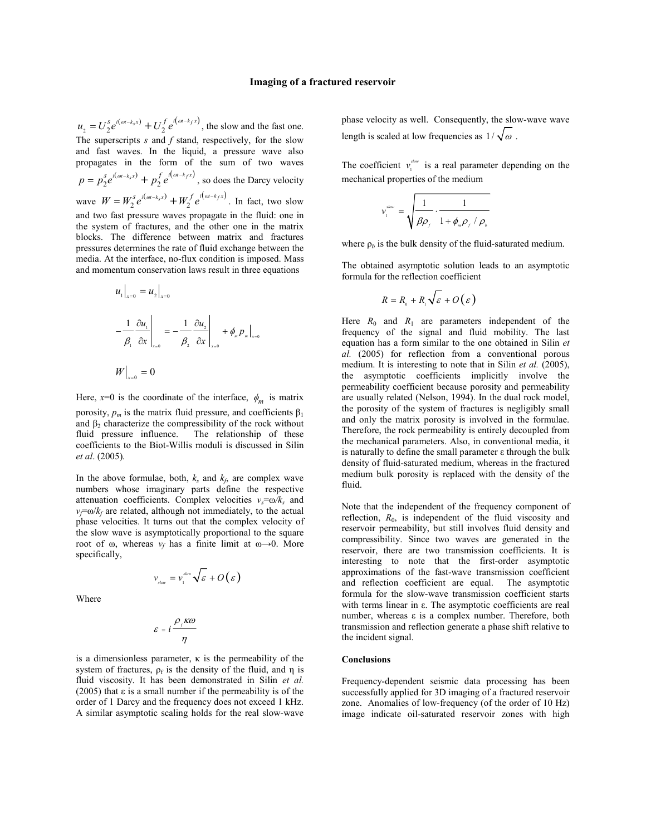$(\omega t - k_s x)$   $\mathbf{I} \mathbf{I}$   $\mathbf{I}$   $\mathbf{I}$   $\mathbf{I}$   $\mathbf{I}$   $\mathbf{I}$   $\mathbf{I}$   $\mathbf{I}$   $\mathbf{I}$   $\mathbf{I}$   $\mathbf{I}$   $\mathbf{I}$   $\mathbf{I}$   $\mathbf{I}$   $\mathbf{I}$   $\mathbf{I}$   $\mathbf{I}$   $\mathbf{I}$   $\mathbf{I}$   $\mathbf{I}$   $\mathbf{I}$   $\mathbf{I}$   $\mathbf{I$  $u_2 = U_2^s e^{i(\omega t - k_s x)} + U_2^f e^{i(\omega t - k_f x)}$ , the slow and the fast one. The superscripts  $s$  and  $f$  stand, respectively, for the slow and fast waves. In the liquid, a pressure wave also propagates in the form of the sum of two waves  $(\omega t - k_s x)$   $\int_{-t}^{t} i(\omega t - k_f x)$  $p = p_2^s e^{i(\omega - k_s x)} + p_2^f e^{i(\omega - k_f x)}$ , so does the Darcy velocity wave  $W = W_2^s e^{i(\omega t - k_s x)} + W_2^f e^{i(\omega t - k_f x)}$  $W = W_2^s e^{i(\omega t - k_s x)} + W_2^f e^{i(\omega t - k_f x)}$ . In fact, two slow and two fast pressure waves propagate in the fluid: one in the system of fractures, and the other one in the matrix blocks. The difference between matrix and fractures pressures determines the rate of fluid exchange between the media. At the interface, no-flux condition is imposed. Mass and momentum conservation laws result in three equations

$$
u_1\Big|_{x=0} = u_2\Big|_{x=0}
$$
  

$$
-\frac{1}{\beta_1} \frac{\partial u_1}{\partial x}\Big|_{x=0} = -\frac{1}{\beta_2} \frac{\partial u_2}{\partial x}\Big|_{x=0} + \phi_m p_m\Big|_{x=0}
$$
  

$$
W\Big|_{x=0} = 0
$$

0

Here,  $x=0$  is the coordinate of the interface,  $\phi_m$  is matrix porosity,  $p_m$  is the matrix fluid pressure, and coefficients  $\beta_1$ and  $\beta_2$  characterize the compressibility of the rock without fluid pressure influence. The relationship of these coefficients to the Biot-Willis moduli is discussed in Silin et al. (2005).

In the above formulae, both,  $k_s$  and  $k_f$ , are complex wave numbers whose imaginary parts define the respective attenuation coefficients. Complex velocities  $v_s = \omega/k_s$  and  $v_f = \omega/k_f$  are related, although not immediately, to the actual phase velocities. It turns out that the complex velocity of the slow wave is asymptotically proportional to the square root of  $\omega$ , whereas  $v_f$  has a finite limit at  $\omega \rightarrow 0$ . More specifically,

$$
v_{\text{slow}} = v_{\text{i}}^{\text{slow}} \sqrt{\varepsilon} + O(\varepsilon)
$$

Where

$$
\varepsilon = i \frac{\rho_f \kappa \omega}{\eta}
$$

is a dimensionless parameter,  $\kappa$  is the permeability of the system of fractures,  $\rho_f$  is the density of the fluid, and  $\eta$  is fluid viscosity. It has been demonstrated in Silin et al. (2005) that  $\varepsilon$  is a small number if the permeability is of the order of 1 Darcy and the frequency does not exceed 1 kHz. A similar asymptotic scaling holds for the real slow-wave

phase velocity as well. Consequently, the slow-wave wave length is scaled at low frequencies as  $1/\sqrt{\omega}$ .

The coefficient  $v_1^{\dagger}$  $v_i^{slow}$  is a real parameter depending on the mechanical properties of the medium

$$
v_{\rm i}^{\rm slow} = \sqrt{\frac{1}{\beta \rho_{\rm j}} \cdot \frac{1}{1 + \phi_{\rm m} \rho_{\rm j} / \rho_{\rm b}}}
$$

where  $\rho_b$  is the bulk density of the fluid-saturated medium.

The obtained asymptotic solution leads to an asymptotic formula for the reflection coefficient

$$
R=R_{_0}+R_{_1}\sqrt{\varepsilon}+O(\varepsilon)
$$

Here  $R_0$  and  $R_1$  are parameters independent of the frequency of the signal and fluid mobility. The last equation has a form similar to the one obtained in Silin et al. (2005) for reflection from a conventional porous medium. It is interesting to note that in Silin *et al.* (2005), the asymptotic coefficients implicitly involve the permeability coefficient because porosity and permeability are usually related (Nelson, 1994). In the dual rock model, the porosity of the system of fractures is negligibly small and only the matrix porosity is involved in the formulae. Therefore, the rock permeability is entirely decoupled from the mechanical parameters. Also, in conventional media, it is naturally to define the small parameter ε through the bulk density of fluid-saturated medium, whereas in the fractured medium bulk porosity is replaced with the density of the fluid.

Note that the independent of the frequency component of reflection,  $R_0$ , is independent of the fluid viscosity and reservoir permeability, but still involves fluid density and compressibility. Since two waves are generated in the reservoir, there are two transmission coefficients. It is interesting to note that the first-order asymptotic approximations of the fast-wave transmission coefficient and reflection coefficient are equal. The asymptotic formula for the slow-wave transmission coefficient starts with terms linear in ε. The asymptotic coefficients are real number, whereas ε is a complex number. Therefore, both transmission and reflection generate a phase shift relative to the incident signal.

#### Conclusions

Frequency-dependent seismic data processing has been successfully applied for 3D imaging of a fractured reservoir zone. Anomalies of low-frequency (of the order of 10 Hz) image indicate oil-saturated reservoir zones with high